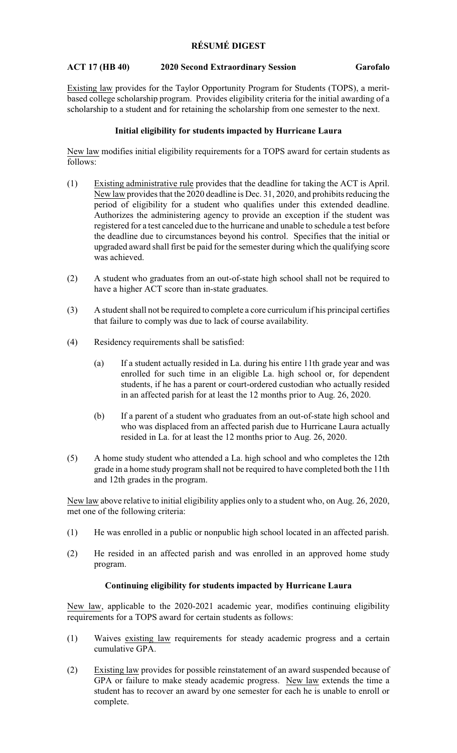## **RÉSUMÉ DIGEST**

## **ACT 17 (HB 40) 2020 Second Extraordinary Session Garofalo**

Existing law provides for the Taylor Opportunity Program for Students (TOPS), a meritbased college scholarship program. Provides eligibility criteria for the initial awarding of a scholarship to a student and for retaining the scholarship from one semester to the next.

#### **Initial eligibility for students impacted by Hurricane Laura**

New law modifies initial eligibility requirements for a TOPS award for certain students as follows:

- (1) Existing administrative rule provides that the deadline for taking the ACT is April. New law provides that the 2020 deadline is Dec. 31, 2020, and prohibits reducing the period of eligibility for a student who qualifies under this extended deadline. Authorizes the administering agency to provide an exception if the student was registered for a test canceled due to the hurricane and unable to schedule a test before the deadline due to circumstances beyond his control. Specifies that the initial or upgraded award shall first be paid for the semester during which the qualifying score was achieved.
- (2) A student who graduates from an out-of-state high school shall not be required to have a higher ACT score than in-state graduates.
- (3) A student shall not be required to complete a core curriculum if his principal certifies that failure to comply was due to lack of course availability.
- (4) Residency requirements shall be satisfied:
	- (a) If a student actually resided in La. during his entire 11th grade year and was enrolled for such time in an eligible La. high school or, for dependent students, if he has a parent or court-ordered custodian who actually resided in an affected parish for at least the 12 months prior to Aug. 26, 2020.
	- (b) If a parent of a student who graduates from an out-of-state high school and who was displaced from an affected parish due to Hurricane Laura actually resided in La. for at least the 12 months prior to Aug. 26, 2020.
- (5) A home study student who attended a La. high school and who completes the 12th grade in a home study program shall not be required to have completed both the 11th and 12th grades in the program.

New law above relative to initial eligibility applies only to a student who, on Aug. 26, 2020, met one of the following criteria:

- (1) He was enrolled in a public or nonpublic high school located in an affected parish.
- (2) He resided in an affected parish and was enrolled in an approved home study program.

# **Continuing eligibility for students impacted by Hurricane Laura**

New law, applicable to the 2020-2021 academic year, modifies continuing eligibility requirements for a TOPS award for certain students as follows:

- (1) Waives existing law requirements for steady academic progress and a certain cumulative GPA.
- (2) Existing law provides for possible reinstatement of an award suspended because of GPA or failure to make steady academic progress. New law extends the time a student has to recover an award by one semester for each he is unable to enroll or complete.